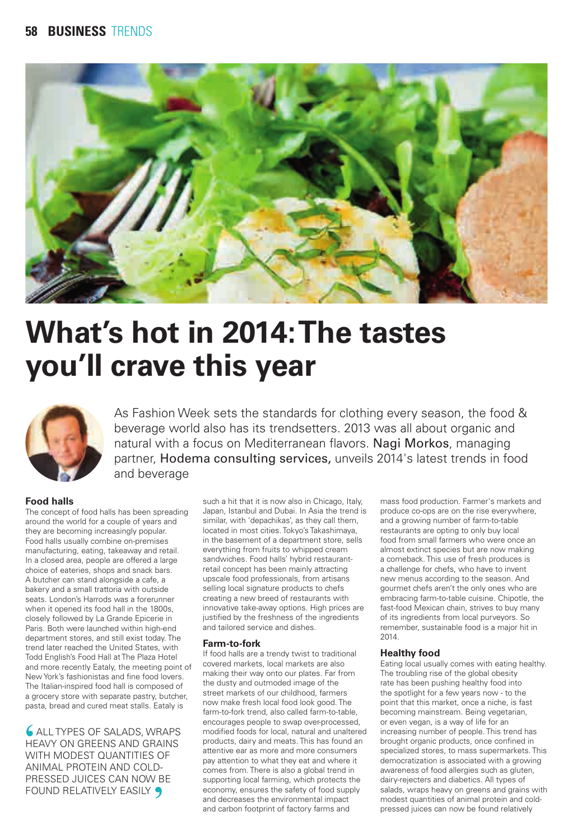

# **What's hot in 2014: The tastes you'll crave this year**



As Fashion Week sets the standards for clothing every season, the food & beverage world also has its trendsetters. 2013 was all about organic and natural with a focus on Mediterranean flavors. Nagi Morkos, managing partner, Hodema consulting services, unveils 2014's latest trends in food and beverage

## **Food halls**

The concept of food halls has been spreading around the world for a couple of years and they are becoming increasingly popular. Food halls usually combine on-premises manufacturing, eating, takeaway and retail. In a closed area, people are offered a large choice of eateries, shops and snack bars. A butcher can stand alongside a cafe, a bakery and a small trattoria with outside seats. London's Harrods was a forerunner when it opened its food hall in the 1800s closely followed by La Grande Epicerie in Paris. Both were launched within high-end department stores, and still exist today. The trend later reached the United States, with Todd English's Food Hall at The Plaza Hotel and more recently Eataly, the meeting point of New York's fashionistas and fine food lovers. The Italian-inspired food hall is composed of a grocery store with separate pastry, butcher, pasta, bread and cured meat stalls. Eataly is

 ALL TYPES OF SALADS, WRAPS HEAVY ON GREENS AND GRAINS WITH MODEST QUANTITIES OF ANIMAL PROTEIN AND COLD-PRESSED JUICES CAN NOW BE FOUND RELATIVELY EASILY 9

such a hit that it is now also in Chicago, Italy, Japan, Istanbul and Dubai. In Asia the trend is similar, with 'depachikas', as they call them, located in most cities. Tokyo's Takashimaya, in the basement of a department store, sells everything from fruits to whipped cream sandwiches. Food halls' hybrid restaurantretail concept has been mainly attracting upscale food professionals, from artisans selling local signature products to chefs creating a new breed of restaurants with innovative take-away options. High prices are justified by the freshness of the ingredients and tailored service and dishes.

## **Farm-to-fork**

If food halls are a trendy twist to traditional covered markets, local markets are also making their way onto our plates. Far from the dusty and outmoded image of the street markets of our childhood, farmers now make fresh local food look good. The farm-to-fork trend, also called farm-to-table, encourages people to swap over-processed, modified foods for local, natural and unaltered products, dairy and meats. This has found an attentive ear as more and more consumers pay attention to what they eat and where it comes from. There is also a global trend in supporting local farming, which protects the economy, ensures the safety of food supply and decreases the environmental impact and carbon footprint of factory farms and

mass food production. Farmer's markets and produce co-ops are on the rise everywhere, and a growing number of farm-to-table restaurants are opting to only buy local food from small farmers who were once an almost extinct species but are now making a comeback. This use of fresh produces is a challenge for chefs, who have to invent new menus according to the season. And gourmet chefs aren't the only ones who are embracing farm-to-table cuisine. Chipotle, the fast-food Mexican chain, strives to buy many of its ingredients from local purveyors. So remember, sustainable food is a major hit in 2014.

## **Healthy food**

Eating local usually comes with eating healthy. The troubling rise of the global obesity rate has been pushing healthy food into the spotlight for a few years now - to the point that this market, once a niche, is fast becoming mainstream. Being vegetarian, or even vegan, is a way of life for an increasing number of people. This trend has brought organic products, once confined in specialized stores, to mass supermarkets. This democratization is associated with a growing awareness of food allergies such as gluten, dairy-rejecters and diabetics. All types of salads, wraps heavy on greens and grains with modest quantities of animal protein and coldpressed juices can now be found relatively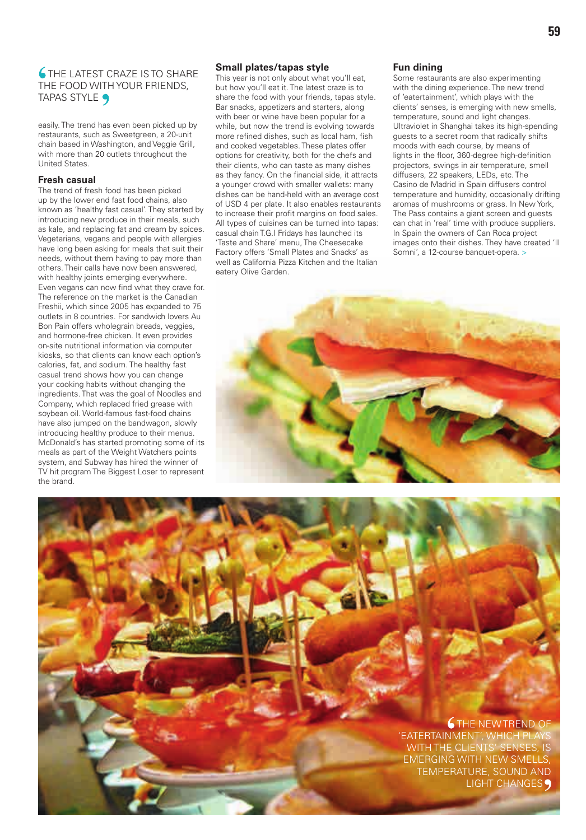## **6 THE LATEST CRAZE IS TO SHARE** THE FOOD WITH YOUR FRIENDS, TAPAS STYLE 9

easily. The trend has even been picked up by restaurants, such as Sweetgreen, a 20-unit chain based in Washington, and Veggie Grill, with more than 20 outlets throughout the United States.

#### **Fresh casual**

The trend of fresh food has been picked up by the lower end fast food chains, also known as 'healthy fast casual'. They started by introducing new produce in their meals, such as kale, and replacing fat and cream by spices. Vegetarians, vegans and people with allergies have long been asking for meals that suit their needs, without them having to pay more than others. Their calls have now been answered, with healthy joints emerging everywhere. Even vegans can now find what they crave for. The reference on the market is the Canadian Freshii, which since 2005 has expanded to 75 outlets in 8 countries. For sandwich lovers Au Bon Pain offers wholegrain breads, veggies, and hormone-free chicken. It even provides on-site nutritional information via computer kiosks, so that clients can know each option's calories, fat, and sodium. The healthy fast casual trend shows how you can change your cooking habits without changing the ingredients. That was the goal of Noodles and Company, which replaced fried grease with soybean oil. World-famous fast-food chains have also jumped on the bandwagon, slowly introducing healthy produce to their menus. McDonald's has started promoting some of its meals as part of the Weight Watchers points system, and Subway has hired the winner of TV hit program The Biggest Loser to represent the brand.

## **Small plates/tapas style**

This year is not only about what you'll eat, but how you'll eat it. The latest craze is to share the food with your friends, tapas style. Bar snacks, appetizers and starters, along with beer or wine have been popular for a while, but now the trend is evolving towards more refined dishes, such as local ham, fish and cooked vegetables. These plates offer options for creativity, both for the chefs and their clients, who can taste as many dishes as they fancy. On the financial side, it attracts a younger crowd with smaller wallets: many dishes can be hand-held with an average cost of USD 4 per plate. It also enables restaurants to increase their profit margins on food sales. All types of cuisines can be turned into tapas: casual chain T.G.I Fridays has launched its 'Taste and Share' menu, The Cheesecake Factory offers 'Small Plates and Snacks' as well as California Pizza Kitchen and the Italian eatery Olive Garden.

### **Fun dining**

Some restaurants are also experimenting with the dining experience. The new trend of 'eatertainment', which plays with the clients' senses, is emerging with new smells, temperature, sound and light changes. Ultraviolet in Shanghai takes its high-spending guests to a secret room that radically shifts moods with each course, by means of lights in the floor, 360-degree high-definition projectors, swings in air temperature, smell diffusers, 22 speakers, LEDs, etc. The Casino de Madrid in Spain diffusers control temperature and humidity, occasionally drifting aromas of mushrooms or grass. In New York, The Pass contains a giant screen and guests can chat in 'real' time with produce suppliers. In Spain the owners of Can Roca project images onto their dishes. They have created 'Il Somni', a 12-course banquet-opera. >



# **G** THE NEW TREND OF 'EATERTAINMENT', WHICH PL WITH THE CLIENTS' SENSES, IS EMERGING WITH NEW SMELLS, TEMPERATURE, SOUND AND LIGHT CHANGES<sub>9</sub>